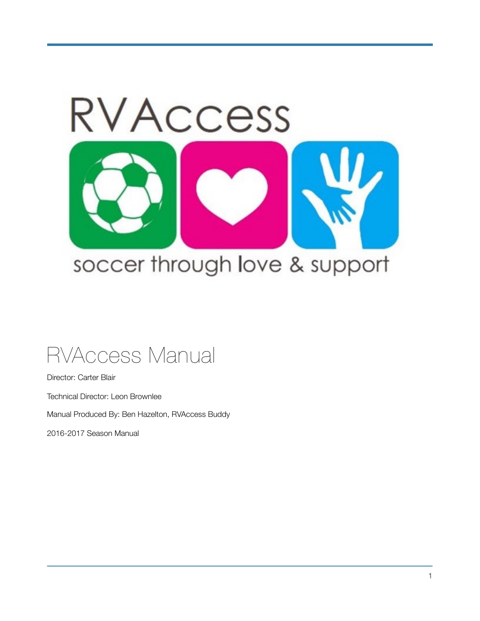

# RVAccess Manual

Director: Carter Blair Technical Director: Leon Brownlee Manual Produced By: Ben Hazelton, RVAccess Buddy 2016-2017 Season Manual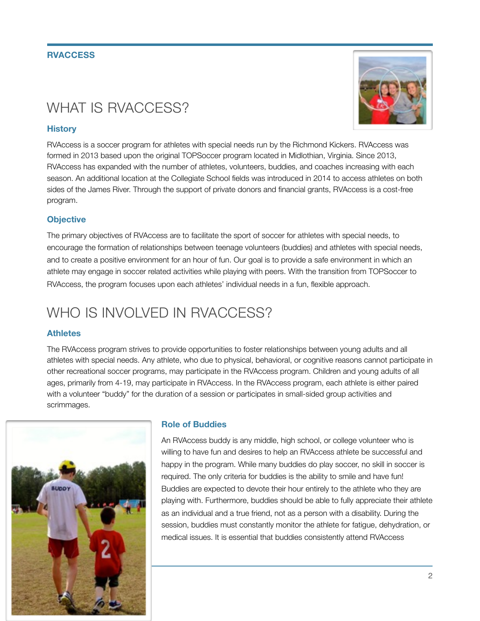#### **RVACCESS**

## WHAT IS RVACCESS?

#### **History**

RVAccess is a soccer program for athletes with special needs run by the Richmond Kickers. RVAccess was formed in 2013 based upon the original TOPSoccer program located in Midlothian, Virginia. Since 2013, RVAccess has expanded with the number of athletes, volunteers, buddies, and coaches increasing with each season. An additional location at the Collegiate School fields was introduced in 2014 to access athletes on both sides of the James River. Through the support of private donors and financial grants, RVAccess is a cost-free program.

#### **Objective**

The primary objectives of RVAccess are to facilitate the sport of soccer for athletes with special needs, to encourage the formation of relationships between teenage volunteers (buddies) and athletes with special needs, and to create a positive environment for an hour of fun. Our goal is to provide a safe environment in which an athlete may engage in soccer related activities while playing with peers. With the transition from TOPSoccer to RVAccess, the program focuses upon each athletes' individual needs in a fun, flexible approach.

### WHO IS INVOLVED IN RVACCESS?

#### **Athletes**

The RVAccess program strives to provide opportunities to foster relationships between young adults and all athletes with special needs. Any athlete, who due to physical, behavioral, or cognitive reasons cannot participate in other recreational soccer programs, may participate in the RVAccess program. Children and young adults of all ages, primarily from 4-19, may participate in RVAccess. In the RVAccess program, each athlete is either paired with a volunteer "buddy" for the duration of a session or participates in small-sided group activities and scrimmages.



#### **Role of Buddies**

An RVAccess buddy is any middle, high school, or college volunteer who is willing to have fun and desires to help an RVAccess athlete be successful and happy in the program. While many buddies do play soccer, no skill in soccer is required. The only criteria for buddies is the ability to smile and have fun! Buddies are expected to devote their hour entirely to the athlete who they are playing with. Furthermore, buddies should be able to fully appreciate their athlete as an individual and a true friend, not as a person with a disability. During the session, buddies must constantly monitor the athlete for fatigue, dehydration, or medical issues. It is essential that buddies consistently attend RVAccess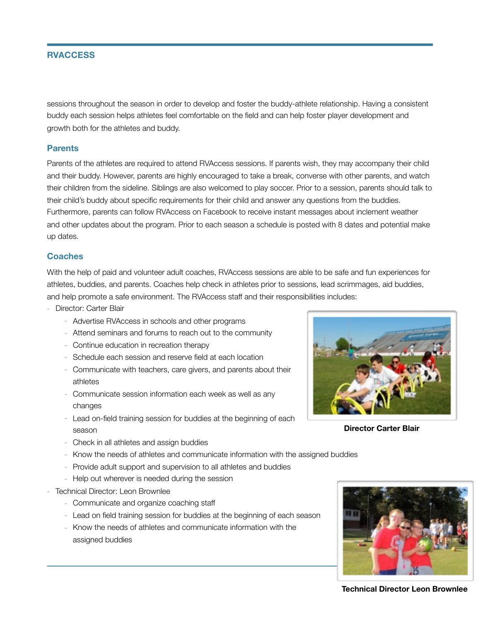#### **RVACCESS**

sessions throughout the season in order to develop and foster the buddy-athlete relationship. Having a consistent buddy each session helps athletes feel comfortable on the field and can help foster player development and growth both for the athletes and buddy.

#### **Parents**

Parents of the athletes are required to attend RVAccess sessions. If parents wish, they may accompany their child and their buddy. However, parents are highly encouraged to take a break, converse with other parents, and watch their children from the sideline. Siblings are also welcomed to play soccer. Prior to a session, parents should talk to their child's buddy about specific requirements for their child and answer any questions from the buddies. Furthermore, parents can follow RVAccess on Facebook to receive instant messages about inclement weather and other updates about the program. Prior to each season a schedule is posted with 8 dates and potential make up dates.

#### **Coaches**

With the help of paid and volunteer adult coaches, RVAccess sessions are able to be safe and fun experiences for athletes, buddies, and parents. Coaches help check in athletes prior to sessions, lead scrimmages, aid buddies, and help promote a safe environment. The RVAccess staff and their responsibilities includes:

- Director: Carter Blair
	- Advertise RVAccess in schools and other programs
	- Attend seminars and forums to reach out to the community
	- Continue education in recreation therapy
	- Schedule each session and reserve field at each location
	- Communicate with teachers, care givers, and parents about their athletes
	- Communicate session information each week as well as any changes
	- Lead on-field training session for buddies at the beginning of each season
- 

**Director Carter Blair**

- Check in all athletes and assign buddies
- Know the needs of athletes and communicate information with the assigned buddies
- Provide adult support and supervision to all athletes and buddies
- Help out wherever is needed during the session
- Technical Director: Leon Brownlee
	- Communicate and organize coaching staff
	- Lead on field training session for buddies at the beginning of each season
	- Know the needs of athletes and communicate information with the assigned buddies



**Technical Director Leon Brownlee**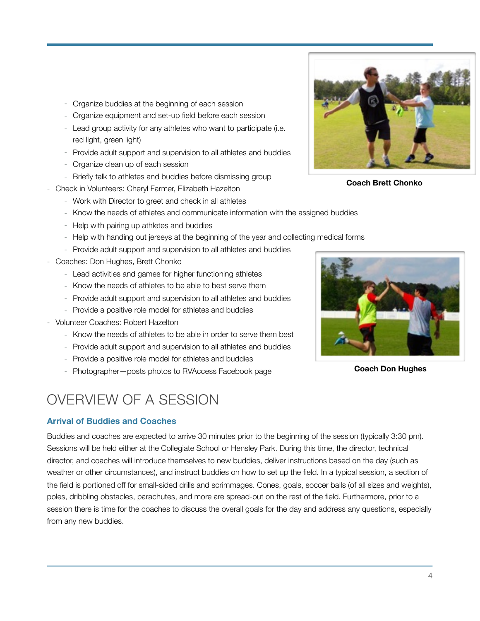- Organize buddies at the beginning of each session
- Organize equipment and set-up field before each session
- Lead group activity for any athletes who want to participate (i.e. red light, green light)
- Provide adult support and supervision to all athletes and buddies
- Organize clean up of each session
- Briefly talk to athletes and buddies before dismissing group
- Check in Volunteers: Cheryl Farmer, Elizabeth Hazelton
	- Work with Director to greet and check in all athletes
	- Know the needs of athletes and communicate information with the assigned buddies
	- Help with pairing up athletes and buddies
	- Help with handing out jerseys at the beginning of the year and collecting medical forms
	- Provide adult support and supervision to all athletes and buddies
- Coaches: Don Hughes, Brett Chonko
	- Lead activities and games for higher functioning athletes
	- Know the needs of athletes to be able to best serve them
	- Provide adult support and supervision to all athletes and buddies
	- Provide a positive role model for athletes and buddies
- Volunteer Coaches: Robert Hazelton
	- Know the needs of athletes to be able in order to serve them best
	- Provide adult support and supervision to all athletes and buddies
	- Provide a positive role model for athletes and buddies
	- Photographer—posts photos to RVAccess Facebook page

### OVERVIEW OF A SESSION

#### **Arrival of Buddies and Coaches**

Buddies and coaches are expected to arrive 30 minutes prior to the beginning of the session (typically 3:30 pm). Sessions will be held either at the Collegiate School or Hensley Park. During this time, the director, technical director, and coaches will introduce themselves to new buddies, deliver instructions based on the day (such as weather or other circumstances), and instruct buddies on how to set up the field. In a typical session, a section of the field is portioned off for small-sided drills and scrimmages. Cones, goals, soccer balls (of all sizes and weights), poles, dribbling obstacles, parachutes, and more are spread-out on the rest of the field. Furthermore, prior to a session there is time for the coaches to discuss the overall goals for the day and address any questions, especially from any new buddies.



**Coach Brett Chonko**



**Coach Don Hughes**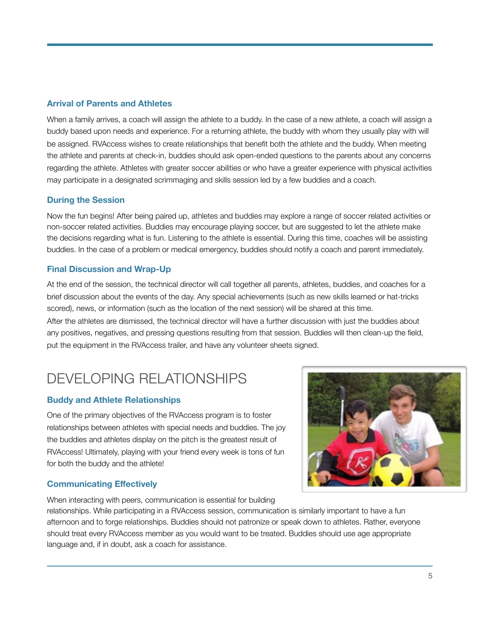#### **Arrival of Parents and Athletes**

When a family arrives, a coach will assign the athlete to a buddy. In the case of a new athlete, a coach will assign a buddy based upon needs and experience. For a returning athlete, the buddy with whom they usually play with will be assigned. RVAccess wishes to create relationships that benefit both the athlete and the buddy. When meeting the athlete and parents at check-in, buddies should ask open-ended questions to the parents about any concerns regarding the athlete. Athletes with greater soccer abilities or who have a greater experience with physical activities may participate in a designated scrimmaging and skills session led by a few buddies and a coach.

#### **During the Session**

Now the fun begins! After being paired up, athletes and buddies may explore a range of soccer related activities or non-soccer related activities. Buddies may encourage playing soccer, but are suggested to let the athlete make the decisions regarding what is fun. Listening to the athlete is essential. During this time, coaches will be assisting buddies. In the case of a problem or medical emergency, buddies should notify a coach and parent immediately.

#### **Final Discussion and Wrap-Up**

At the end of the session, the technical director will call together all parents, athletes, buddies, and coaches for a brief discussion about the events of the day. Any special achievements (such as new skills learned or hat-tricks scored), news, or information (such as the location of the next session) will be shared at this time. After the athletes are dismissed, the technical director will have a further discussion with just the buddies about any positives, negatives, and pressing questions resulting from that session. Buddies will then clean-up the field, put the equipment in the RVAccess trailer, and have any volunteer sheets signed.

### DEVELOPING RELATIONSHIPS

#### **Buddy and Athlete Relationships**

One of the primary objectives of the RVAccess program is to foster relationships between athletes with special needs and buddies. The joy the buddies and athletes display on the pitch is the greatest result of RVAccess! Ultimately, playing with your friend every week is tons of fun for both the buddy and the athlete!

#### **Communicating Effectively**

When interacting with peers, communication is essential for building



relationships. While participating in a RVAccess session, communication is similarly important to have a fun afternoon and to forge relationships. Buddies should not patronize or speak down to athletes. Rather, everyone should treat every RVAccess member as you would want to be treated. Buddies should use age appropriate language and, if in doubt, ask a coach for assistance.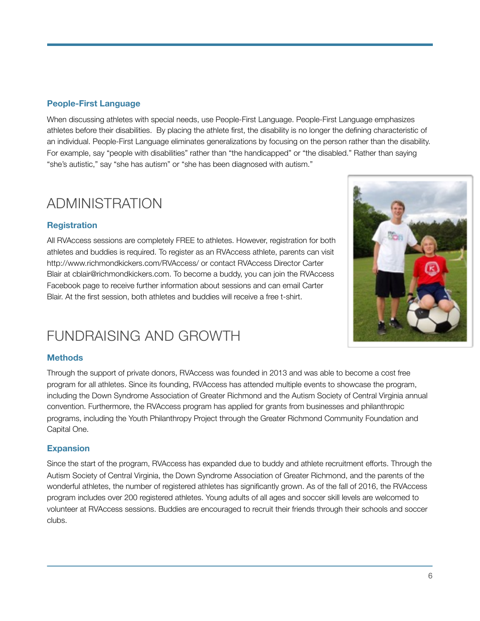#### **People-First Language**

When discussing athletes with special needs, use People-First Language. People-First Language emphasizes athletes before their disabilities. By placing the athlete first, the disability is no longer the defining characteristic of an individual. People-First Language eliminates generalizations by focusing on the person rather than the disability. For example, say "people with disabilities" rather than "the handicapped" or "the disabled." Rather than saying "she's autistic," say "she has autism" or "she has been diagnosed with autism."

### ADMINISTRATION

### **Registration**

All RVAccess sessions are completely FREE to athletes. However, registration for both athletes and buddies is required. To register as an RVAccess athlete, parents can visit <http://www.richmondkickers.com/RVAccess/>or contact RVAccess Director Carter Blair at [cblair@richmondkickers.com](mailto:cblair@richmondkickers.com). To become a buddy, you can join the RVAccess Facebook page to receive further information about sessions and can email Carter Blair. At the first session, both athletes and buddies will receive a free t-shirt.

### FUNDRAISING AND GROWTH

#### **Methods**

Through the support of private donors, RVAccess was founded in 2013 and was able to become a cost free program for all athletes. Since its founding, RVAccess has attended multiple events to showcase the program, including the Down Syndrome Association of Greater Richmond and the Autism Society of Central Virginia annual convention. Furthermore, the RVAccess program has applied for grants from businesses and philanthropic programs, including the Youth Philanthropy Project through the Greater Richmond Community Foundation and Capital One.

#### **Expansion**

Since the start of the program, RVAccess has expanded due to buddy and athlete recruitment efforts. Through the Autism Society of Central Virginia, the Down Syndrome Association of Greater Richmond, and the parents of the wonderful athletes, the number of registered athletes has significantly grown. As of the fall of 2016, the RVAccess program includes over 200 registered athletes. Young adults of all ages and soccer skill levels are welcomed to volunteer at RVAccess sessions. Buddies are encouraged to recruit their friends through their schools and soccer clubs.